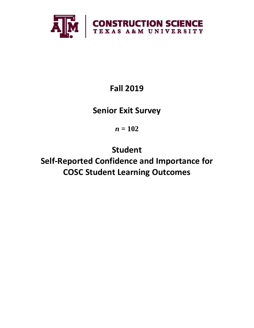

# **Fall 2019**

## **Senior Exit Survey**

*n* **= 102**

**Student Self-Reported Confidence and Importance for COSC Student Learning Outcomes**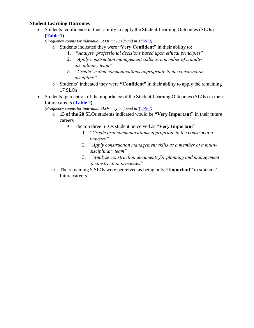### **Student Learning Outcomes**

• Students' confidence in their ability to apply the Student Learning Outcomes (SLOs) **(Table 1)**

*(Frequency counts for individual SLOs may be found in Table 3)*

- o Students indicated they were **"Very Confident"** in their ability to:
	- 1. "*Analyze professional decisions based upon ethical principles*"
	- 2. *"Apply construction management skills as a member of a multidisciplinary team"*
	- 3. *"Create written communications appropriate to the construction discipline"*
- o Students' indicated they were **"Confident"** in their ability to apply the remaining 17 SLOs
- Students' perception of the importance of the Student Learning Outcomes (SLOs) in their future careers **(Table 2)**
	- *(Frequency counts for individual SLOs may be found in [Table 4\)](#page-5-0)*
		- o **15 of the 20** SLOs students indicated would be **"Very Important"** in their future careers
			- The top three SLOs student perceived as **"Very Important"**
				- 1. *"Create oral communications appropriate to the construction Industry"*
				- 2. *"Apply construction management skills as a member of a multidisciplinary team"*
				- 3. *"Analyze construction documents for planning and management of construction processes"*
		- o The remaining 5 SLOs were perceived as being only **"Important"** to students' future careers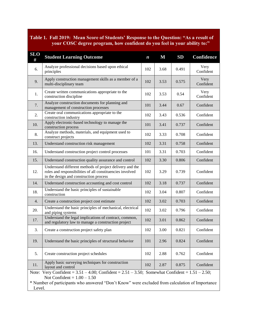## **Table 1. Fall 2019: Mean Score of Students' Response to the Question: "As a result of your COSC degree program, how confident do you feel in your ability to:"**

| <b>SLO</b><br>#                                                                                                                                                                                                                                       | <b>Student Learning Outcome</b>                                                                                                                                 | $\boldsymbol{n}$ | $\mathbf M$ | <b>SD</b> | Confidence        |  |  |
|-------------------------------------------------------------------------------------------------------------------------------------------------------------------------------------------------------------------------------------------------------|-----------------------------------------------------------------------------------------------------------------------------------------------------------------|------------------|-------------|-----------|-------------------|--|--|
| 6.                                                                                                                                                                                                                                                    | Analyze professional decisions based upon ethical<br>principles                                                                                                 | 102              | 3.68        | 0.491     | Very<br>Confident |  |  |
| 9.                                                                                                                                                                                                                                                    | Apply construction management skills as a member of a<br>multi-disciplinary team                                                                                | 102              | 3.53        | 0.575     | Very<br>Confident |  |  |
| 1.                                                                                                                                                                                                                                                    | Create written communications appropriate to the<br>102<br>construction discipline                                                                              |                  | 3.53        | 0.54      | Very<br>Confident |  |  |
| 7.                                                                                                                                                                                                                                                    | Analyze construction documents for planning and<br>management of construction processes                                                                         | 101              | 3.44        | 0.67      | Confident         |  |  |
| 2.                                                                                                                                                                                                                                                    | Create oral communications appropriate to the<br>construction industry                                                                                          | 102              | 3.43        | 0.536     | Confident         |  |  |
| 10.                                                                                                                                                                                                                                                   | Apply electronic-based technology to manage the<br>construction process                                                                                         | 101              | 3.41        | 0.737     | Confident         |  |  |
| 8.                                                                                                                                                                                                                                                    | Analyze methods, materials, and equipment used to<br>construct projects                                                                                         | 102              | 3.33        | 0.708     | Confident         |  |  |
| 13.                                                                                                                                                                                                                                                   | Understand construction risk management                                                                                                                         | 102              | 3.31        | 0.758     | Confident         |  |  |
| 16.                                                                                                                                                                                                                                                   | Understand construction project control processes                                                                                                               | 101              | 3.31        | 0.703     | Confident         |  |  |
| 15.                                                                                                                                                                                                                                                   | Understand construction quality assurance and control                                                                                                           | 102              | 3.30        | 0.806     | Confident         |  |  |
| 12.                                                                                                                                                                                                                                                   | Understand different methods of project delivery and the<br>roles and responsibilities of all constituencies involved<br>in the design and construction process |                  | 3.29        | 0.739     | Confident         |  |  |
| 14.                                                                                                                                                                                                                                                   | Understand construction accounting and cost control                                                                                                             | 102              | 3.18        | 0.737     | Confident         |  |  |
| 18.                                                                                                                                                                                                                                                   | Understand the basic principles of sustainable<br>construction                                                                                                  | 102              | 3.04        | 0.807     | Confident         |  |  |
| 4.                                                                                                                                                                                                                                                    | Create a construction project cost estimate                                                                                                                     | 102              | 3.02        | 0.703     | Confident         |  |  |
| 20.                                                                                                                                                                                                                                                   | Understand the basic principles of mechanical, electrical<br>and piping systems                                                                                 | 102              | 3.02        | 0.796     | Confident         |  |  |
| 17.                                                                                                                                                                                                                                                   | Understand the legal implications of contract, common,<br>and regulatory law to manage a construction project                                                   | 102              | 3.01        | 0.862     | Confident         |  |  |
| 3.                                                                                                                                                                                                                                                    | Create a construction project safety plan                                                                                                                       | 102              | 3.00        | 0.821     | Confident         |  |  |
| 19.                                                                                                                                                                                                                                                   | Understand the basic principles of structural behavior                                                                                                          |                  | 2.96        | 0.824     | Confident         |  |  |
| 5.                                                                                                                                                                                                                                                    | Create construction project schedules                                                                                                                           |                  | 2.88        | 0.762     | Confident         |  |  |
| 11.                                                                                                                                                                                                                                                   | Apply basic surveying techniques for construction<br>layout and control                                                                                         |                  | 2.87        | 0.875     | Confident         |  |  |
| Note: Very Confident = $3.51 - 4.00$ ; Confident = $2.51 - 3.50$ ; Somewhat Confident = $1.51 - 2.50$ ;<br>Not Confident = $1.00 - 1.50$<br>* Number of participants who answered "Don't Know" were excluded from calculation of Importance<br>Level. |                                                                                                                                                                 |                  |             |           |                   |  |  |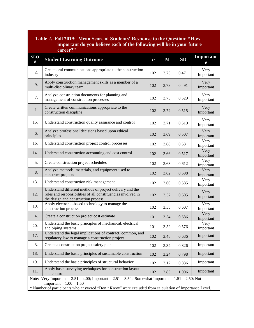| Table 2. Fall 2019: Mean Score of Students' Response to the Question: "How<br>important do you believe each of the following will be in your future<br>career?"                                                                                    |                                                                                                                                                                 |                  |             |           |                       |  |  |
|----------------------------------------------------------------------------------------------------------------------------------------------------------------------------------------------------------------------------------------------------|-----------------------------------------------------------------------------------------------------------------------------------------------------------------|------------------|-------------|-----------|-----------------------|--|--|
| <b>SLO</b><br>#                                                                                                                                                                                                                                    | <b>Student Learning Outcome</b>                                                                                                                                 | $\boldsymbol{n}$ | $\mathbf M$ | <b>SD</b> | <b>Importanc</b><br>e |  |  |
| 2.                                                                                                                                                                                                                                                 | Create oral communications appropriate to the construction<br>industry                                                                                          | 102              | 3.73        | 0.47      | Very<br>Important     |  |  |
| 9.                                                                                                                                                                                                                                                 | Apply construction management skills as a member of a<br>multi-disciplinary team                                                                                |                  | 3.73        | 0.491     | Very<br>Important     |  |  |
| 7.                                                                                                                                                                                                                                                 | Analyze construction documents for planning and<br>management of construction processes                                                                         | 102              | 3.73        | 0.529     | Very<br>Important     |  |  |
| 1.                                                                                                                                                                                                                                                 | Create written communications appropriate to the<br>construction discipline                                                                                     | 102              | 3.72        | 0.515     | Very<br>Important     |  |  |
| 15.                                                                                                                                                                                                                                                | Understand construction quality assurance and control                                                                                                           | 102              | 3.71        | 0.519     | Very<br>Important     |  |  |
| 6.                                                                                                                                                                                                                                                 | Analyze professional decisions based upon ethical<br>principles                                                                                                 | 102              | 3.69        | 0.507     | Very<br>Important     |  |  |
| 16.                                                                                                                                                                                                                                                | Understand construction project control processes                                                                                                               | 102              | 3.68        | 0.53      | Very<br>Important     |  |  |
| 14.                                                                                                                                                                                                                                                | Understand construction accounting and cost control                                                                                                             |                  | 3.66        | 0.517     | Very<br>Important     |  |  |
| 5.                                                                                                                                                                                                                                                 | Create construction project schedules                                                                                                                           |                  | 3.63        | 0.612     | Very<br>Important     |  |  |
| 8.                                                                                                                                                                                                                                                 | Analyze methods, materials, and equipment used to<br>construct projects                                                                                         |                  | 3.62        | 0.598     | Very<br>Important     |  |  |
| 13.                                                                                                                                                                                                                                                | Understand construction risk management                                                                                                                         | 102              | 3.60        | 0.585     | Very<br>Important     |  |  |
| 12.                                                                                                                                                                                                                                                | Understand different methods of project delivery and the<br>roles and responsibilities of all constituencies involved in<br>the design and construction process |                  | 3.57        | 0.605     | Very<br>Important     |  |  |
| 10.                                                                                                                                                                                                                                                | Apply electronic-based technology to manage the<br>construction process                                                                                         |                  | 3.55        | 0.607     | Very<br>Important     |  |  |
| 4.                                                                                                                                                                                                                                                 | Create a construction project cost estimate                                                                                                                     |                  | 3.54        | 0.686     | Very<br>Important     |  |  |
| 20.                                                                                                                                                                                                                                                | Understand the basic principles of mechanical, electrical<br>and piping systems                                                                                 | 101              | 3.52        | 0.576     | Very<br>Important     |  |  |
| 17.                                                                                                                                                                                                                                                | Understand the legal implications of contract, common, and<br>regulatory law to manage a construction project                                                   |                  | 3.48        | 0.686     | Important             |  |  |
| 3.                                                                                                                                                                                                                                                 | Create a construction project safety plan                                                                                                                       |                  | 3.34        | 0.826     | Important             |  |  |
| 18.                                                                                                                                                                                                                                                | Understand the basic principles of sustainable construction                                                                                                     |                  | 3.24        | 0.798     | Important             |  |  |
| 19.                                                                                                                                                                                                                                                | Understand the basic principles of structural behavior                                                                                                          |                  | 3.12        | 0.836     | Important             |  |  |
| 11.                                                                                                                                                                                                                                                | Apply basic surveying techniques for construction layout<br>and control                                                                                         |                  | 2.83        | 1.006     | Important             |  |  |
| Note: Very Important = $3.51 - 4.00$ ; Important = $2.51 - 3.50$ ; Somewhat Important = $1.51 - 2.50$ ; Not<br>$Important = 1.00 - 1.50$<br>* Number of participants who answered "Don't Know" were excluded from calculation of Importance Level. |                                                                                                                                                                 |                  |             |           |                       |  |  |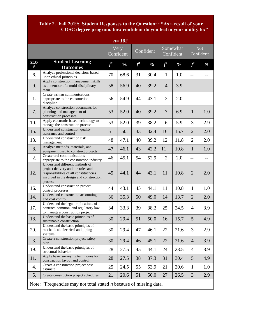#### **Table 2. Fall 2019: Student Responses to the Question: : "As a result of your COSC degree program, how confident do you feel in your ability to:"**

| $n = 102$                                                                                      |                                                                                                                                                                       |       |                   |           |               |                       |               |                         |     |
|------------------------------------------------------------------------------------------------|-----------------------------------------------------------------------------------------------------------------------------------------------------------------------|-------|-------------------|-----------|---------------|-----------------------|---------------|-------------------------|-----|
|                                                                                                |                                                                                                                                                                       |       | Very<br>Confident | Confident |               | Somewhat<br>Confident |               | <b>Not</b><br>Confident |     |
| <b>SLO</b><br>#                                                                                | <b>Student Learning</b><br><b>Outcomes</b>                                                                                                                            | $f^a$ | $\frac{0}{0}$     | $f^a$     | $\frac{0}{0}$ | $f^a$                 | $\frac{0}{0}$ | $f^a$                   | %   |
| 6.                                                                                             | Analyze professional decisions based<br>upon ethical principles                                                                                                       | 70    | 68.6              | 31        | 30.4          | $\mathbf{1}$          | 1.0           | $-$                     | $-$ |
| 9.                                                                                             | Apply construction management skills<br>as a member of a multi-disciplinary<br>team                                                                                   | 58    | 56.9              | 40        | 39.2          | $\overline{4}$        | 3.9           | --                      |     |
| 1.                                                                                             | Create written communications<br>appropriate to the construction<br>discipline                                                                                        | 56    | 54.9              | 44        | 43.1          | $\overline{2}$        | 2.0           | $-$                     |     |
| 7.                                                                                             | Analyze construction documents for<br>planning and management of<br>construction processes                                                                            | 53    | 52.0              | 40        | 39.2          | $\overline{7}$        | 6.9           | $\mathbf{1}$            | 1.0 |
| 10.                                                                                            | Apply electronic-based technology to<br>manage the construction process                                                                                               | 53    | 52.0              | 39        | 38.2          | 6                     | 5.9           | 3                       | 2.9 |
| 15.                                                                                            | Understand construction quality<br>assurance and control                                                                                                              | 51    | 50.               | 33        | 32.4          | 16                    | 15.7          | $\overline{2}$          | 2.0 |
| 13.                                                                                            | Understand construction risk<br>management                                                                                                                            | 48    | 47.1              | 40        | 39.2          | 12                    | 11.8          | $\overline{2}$          | 2.0 |
| 8.                                                                                             | Analyze methods, materials, and<br>equipment used to construct projects                                                                                               | 47    | 46.1              | 43        | 42.2          | 11                    | 10.8          | $\mathbf{1}$            | 1.0 |
| 2.                                                                                             | Create oral communications<br>appropriate to the construction industry                                                                                                | 46    | 45.1              | 54        | 52.9          | $\overline{2}$        | 2.0           | $-$                     | --  |
| 12.                                                                                            | Understand different methods of<br>project delivery and the roles and<br>responsibilities of all constituencies<br>involved in the design and construction<br>process | 45    | 44.1              | 44        | 43.1          | 11                    | 10.8          | $\overline{2}$          | 2.0 |
| 16.                                                                                            | Understand construction project<br>control processes                                                                                                                  | 44    | 43.1              | 45        | 44.1          | 11                    | 10.8          | $\mathbf{1}$            | 1.0 |
| 14.                                                                                            | Understand construction accounting<br>and cost control                                                                                                                | 36    | 35.3              | 50        | 49.0          | 14                    | 13.7          | $\overline{2}$          | 2.0 |
| 17.                                                                                            | Understand the legal implications of<br>contract, common, and regulatory law<br>to manage a construction project                                                      | 34    | 33.3              | 39        | 38.2          | 25                    | 24.5          | $\overline{4}$          | 3.9 |
| 18.                                                                                            | Understand the basic principles of<br>sustainable construction                                                                                                        | 30    | 29.4              | 51        | 50.0          | 16                    | 15.7          | 5                       | 4.9 |
| 20.                                                                                            | Understand the basic principles of<br>mechanical, electrical and piping<br>systems                                                                                    | 30    | 29.4              | 47        | 46.1          | 22                    | 21.6          | 3                       | 2.9 |
| 3.                                                                                             | Create a construction project safety<br>plan                                                                                                                          | 30    | 29.4              | 46        | 45.1          | 22                    | 21.6          | $\overline{4}$          | 3.9 |
| 19.                                                                                            | Understand the basic principles of<br>structural behavior                                                                                                             | 28    | 27.5              | 45        | 44.1          | 24                    | 23.5          | $\overline{4}$          | 3.9 |
| 11.                                                                                            | Apply basic surveying techniques for<br>construction layout and control                                                                                               | 28    | 27.5              | 38        | 37.3          | 31                    | 30.4          | 5                       | 4.9 |
| 4.                                                                                             | Create a construction project cost<br>estimate                                                                                                                        | 25    | 24.5              | 55        | 53.9          | 21                    | 20.6          | $\mathbf{1}$            | 1.0 |
| 5.                                                                                             | Create construction project schedules                                                                                                                                 | 21    | 20.6              | 51        | 50.0          | 27                    | 26.5          | 3                       | 2.9 |
| Note: $\alpha$ <sup>a</sup> Frequencies may not total stated <i>n</i> because of missing data. |                                                                                                                                                                       |       |                   |           |               |                       |               |                         |     |